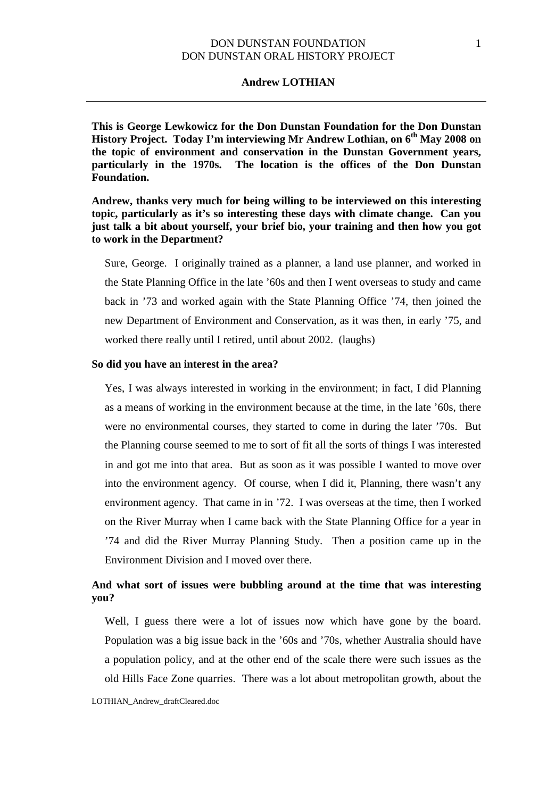#### **Andrew LOTHIAN**

**This is George Lewkowicz for the Don Dunstan Foundation for the Don Dunstan**  History Project. Today I'm interviewing Mr Andrew Lothian, on 6<sup>th</sup> May 2008 on **the topic of environment and conservation in the Dunstan Government years, particularly in the 1970s. The location is the offices of the Don Dunstan Foundation.**

**Andrew, thanks very much for being willing to be interviewed on this interesting topic, particularly as it's so interesting these days with climate change. Can you just talk a bit about yourself, your brief bio, your training and then how you got to work in the Department?**

Sure, George. I originally trained as a planner, a land use planner, and worked in the State Planning Office in the late '60s and then I went overseas to study and came back in '73 and worked again with the State Planning Office '74, then joined the new Department of Environment and Conservation, as it was then, in early '75, and worked there really until I retired, until about 2002. (laughs)

### **So did you have an interest in the area?**

Yes, I was always interested in working in the environment; in fact, I did Planning as a means of working in the environment because at the time, in the late '60s, there were no environmental courses, they started to come in during the later '70s. But the Planning course seemed to me to sort of fit all the sorts of things I was interested in and got me into that area. But as soon as it was possible I wanted to move over into the environment agency. Of course, when I did it, Planning, there wasn't any environment agency. That came in in '72. I was overseas at the time, then I worked on the River Murray when I came back with the State Planning Office for a year in '74 and did the River Murray Planning Study. Then a position came up in the Environment Division and I moved over there.

# **And what sort of issues were bubbling around at the time that was interesting you?**

<span id="page-0-0"></span>Well, I guess there were a lot of issues now which have gone by the board. Population was a big issue back in the '60s and '70s, whether Australia should have a population policy, and at the other end of the scale there were such issues as the old Hills Face Zone quarries. There was a lot about metropolitan growth, about the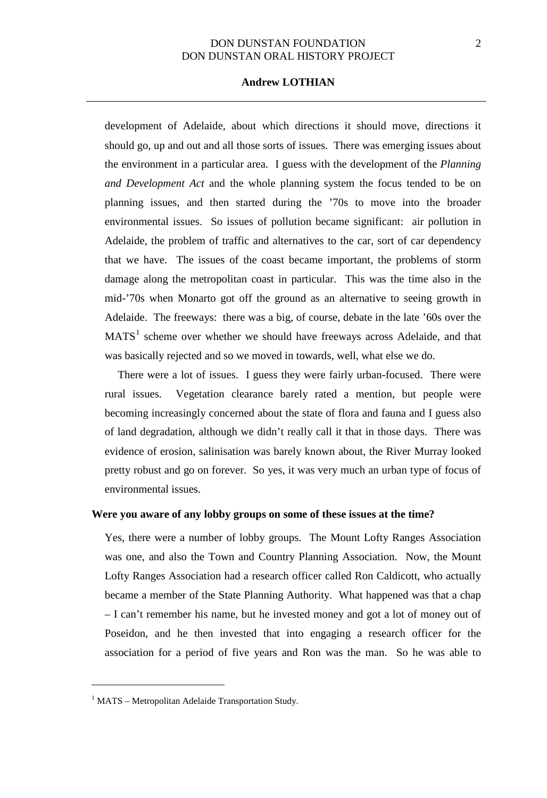## **Andrew LOTHIAN**

development of Adelaide, about which directions it should move, directions it should go, up and out and all those sorts of issues. There was emerging issues about the environment in a particular area. I guess with the development of the *Planning and Development Act* and the whole planning system the focus tended to be on planning issues, and then started during the '70s to move into the broader environmental issues. So issues of pollution became significant: air pollution in Adelaide, the problem of traffic and alternatives to the car, sort of car dependency that we have. The issues of the coast became important, the problems of storm damage along the metropolitan coast in particular. This was the time also in the mid-'70s when Monarto got off the ground as an alternative to seeing growth in Adelaide. The freeways: there was a big, of course, debate in the late '60s over the  $MATS<sup>1</sup>$  $MATS<sup>1</sup>$  $MATS<sup>1</sup>$  scheme over whether we should have freeways across Adelaide, and that was basically rejected and so we moved in towards, well, what else we do.

There were a lot of issues. I guess they were fairly urban-focused. There were rural issues. Vegetation clearance barely rated a mention, but people were becoming increasingly concerned about the state of flora and fauna and I guess also of land degradation, although we didn't really call it that in those days. There was evidence of erosion, salinisation was barely known about, the River Murray looked pretty robust and go on forever. So yes, it was very much an urban type of focus of environmental issues.

### **Were you aware of any lobby groups on some of these issues at the time?**

Yes, there were a number of lobby groups. The Mount Lofty Ranges Association was one, and also the Town and Country Planning Association. Now, the Mount Lofty Ranges Association had a research officer called Ron Caldicott, who actually became a member of the State Planning Authority. What happened was that a chap – I can't remember his name, but he invested money and got a lot of money out of Poseidon, and he then invested that into engaging a research officer for the association for a period of five years and Ron was the man. So he was able to

 $\overline{a}$ 

<span id="page-1-0"></span> $1$  MATS – Metropolitan Adelaide Transportation Study.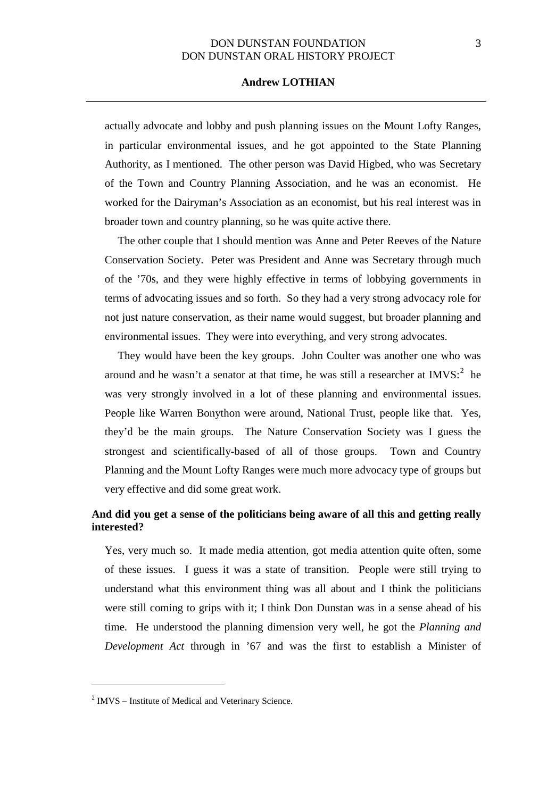## **Andrew LOTHIAN**

actually advocate and lobby and push planning issues on the Mount Lofty Ranges, in particular environmental issues, and he got appointed to the State Planning Authority, as I mentioned. The other person was David Higbed, who was Secretary of the Town and Country Planning Association, and he was an economist. He worked for the Dairyman's Association as an economist, but his real interest was in broader town and country planning, so he was quite active there.

The other couple that I should mention was Anne and Peter Reeves of the Nature Conservation Society. Peter was President and Anne was Secretary through much of the '70s, and they were highly effective in terms of lobbying governments in terms of advocating issues and so forth. So they had a very strong advocacy role for not just nature conservation, as their name would suggest, but broader planning and environmental issues. They were into everything, and very strong advocates.

They would have been the key groups. John Coulter was another one who was around and he wasn't a senator at that time, he was still a researcher at  $IMVS$ <sup>[2](#page-1-0)</sup> he was very strongly involved in a lot of these planning and environmental issues. People like Warren Bonython were around, National Trust, people like that. Yes, they'd be the main groups. The Nature Conservation Society was I guess the strongest and scientifically-based of all of those groups. Town and Country Planning and the Mount Lofty Ranges were much more advocacy type of groups but very effective and did some great work.

# **And did you get a sense of the politicians being aware of all this and getting really interested?**

Yes, very much so. It made media attention, got media attention quite often, some of these issues. I guess it was a state of transition. People were still trying to understand what this environment thing was all about and I think the politicians were still coming to grips with it; I think Don Dunstan was in a sense ahead of his time. He understood the planning dimension very well, he got the *Planning and Development Act* through in '67 and was the first to establish a Minister of

 $\overline{a}$ 

<span id="page-2-0"></span> $2$  IMVS – Institute of Medical and Veterinary Science.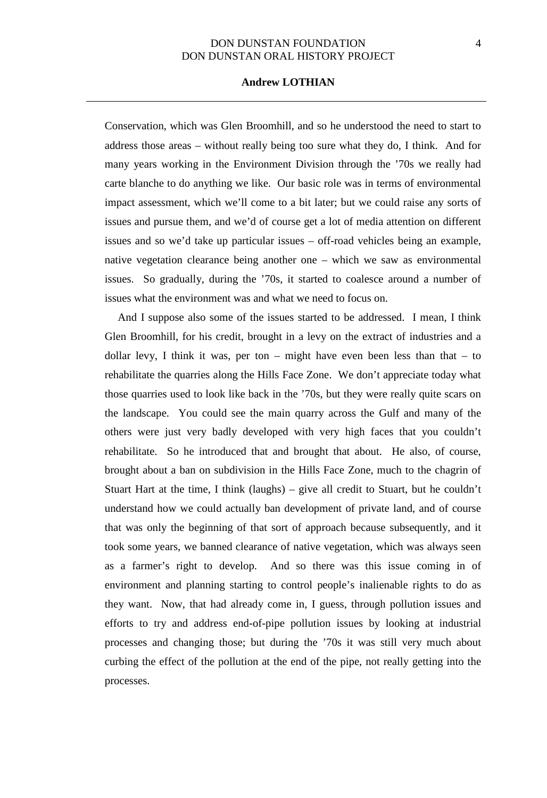### **Andrew LOTHIAN**

Conservation, which was Glen Broomhill, and so he understood the need to start to address those areas – without really being too sure what they do, I think. And for many years working in the Environment Division through the '70s we really had carte blanche to do anything we like. Our basic role was in terms of environmental impact assessment, which we'll come to a bit later; but we could raise any sorts of issues and pursue them, and we'd of course get a lot of media attention on different issues and so we'd take up particular issues – off-road vehicles being an example, native vegetation clearance being another one – which we saw as environmental issues. So gradually, during the '70s, it started to coalesce around a number of issues what the environment was and what we need to focus on.

And I suppose also some of the issues started to be addressed. I mean, I think Glen Broomhill, for his credit, brought in a levy on the extract of industries and a dollar levy, I think it was, per ton – might have even been less than that – to rehabilitate the quarries along the Hills Face Zone. We don't appreciate today what those quarries used to look like back in the '70s, but they were really quite scars on the landscape. You could see the main quarry across the Gulf and many of the others were just very badly developed with very high faces that you couldn't rehabilitate. So he introduced that and brought that about. He also, of course, brought about a ban on subdivision in the Hills Face Zone, much to the chagrin of Stuart Hart at the time, I think (laughs) – give all credit to Stuart, but he couldn't understand how we could actually ban development of private land, and of course that was only the beginning of that sort of approach because subsequently, and it took some years, we banned clearance of native vegetation, which was always seen as a farmer's right to develop. And so there was this issue coming in of environment and planning starting to control people's inalienable rights to do as they want. Now, that had already come in, I guess, through pollution issues and efforts to try and address end-of-pipe pollution issues by looking at industrial processes and changing those; but during the '70s it was still very much about curbing the effect of the pollution at the end of the pipe, not really getting into the processes.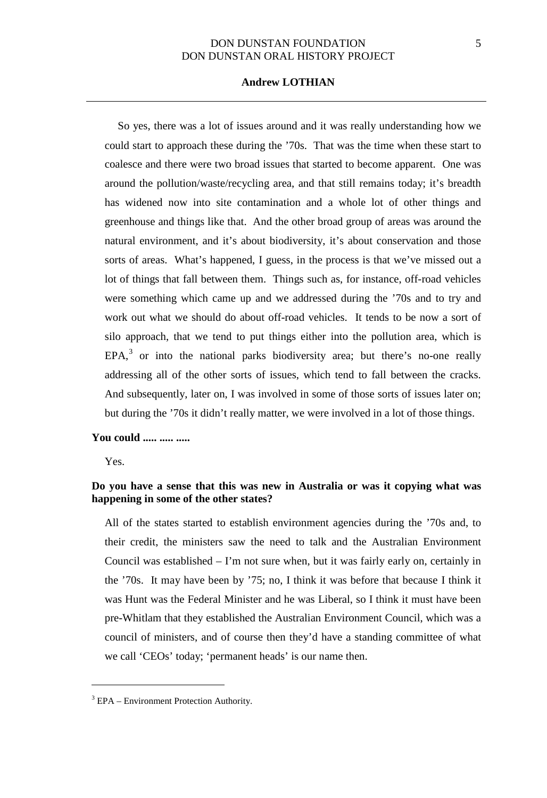## **Andrew LOTHIAN**

So yes, there was a lot of issues around and it was really understanding how we could start to approach these during the '70s. That was the time when these start to coalesce and there were two broad issues that started to become apparent. One was around the pollution/waste/recycling area, and that still remains today; it's breadth has widened now into site contamination and a whole lot of other things and greenhouse and things like that. And the other broad group of areas was around the natural environment, and it's about biodiversity, it's about conservation and those sorts of areas. What's happened, I guess, in the process is that we've missed out a lot of things that fall between them. Things such as, for instance, off-road vehicles were something which came up and we addressed during the '70s and to try and work out what we should do about off-road vehicles. It tends to be now a sort of silo approach, that we tend to put things either into the pollution area, which is  $EPA<sup>3</sup>$  $EPA<sup>3</sup>$  $EPA<sup>3</sup>$  or into the national parks biodiversity area; but there's no-one really addressing all of the other sorts of issues, which tend to fall between the cracks. And subsequently, later on, I was involved in some of those sorts of issues later on; but during the '70s it didn't really matter, we were involved in a lot of those things.

# **You could ..... ..... .....**

Yes.

 $\overline{a}$ 

## **Do you have a sense that this was new in Australia or was it copying what was happening in some of the other states?**

All of the states started to establish environment agencies during the '70s and, to their credit, the ministers saw the need to talk and the Australian Environment Council was established – I'm not sure when, but it was fairly early on, certainly in the '70s. It may have been by '75; no, I think it was before that because I think it was Hunt was the Federal Minister and he was Liberal, so I think it must have been pre-Whitlam that they established the Australian Environment Council, which was a council of ministers, and of course then they'd have a standing committee of what we call 'CEOs' today; 'permanent heads' is our name then.

<span id="page-4-0"></span> $3$  EPA – Environment Protection Authority.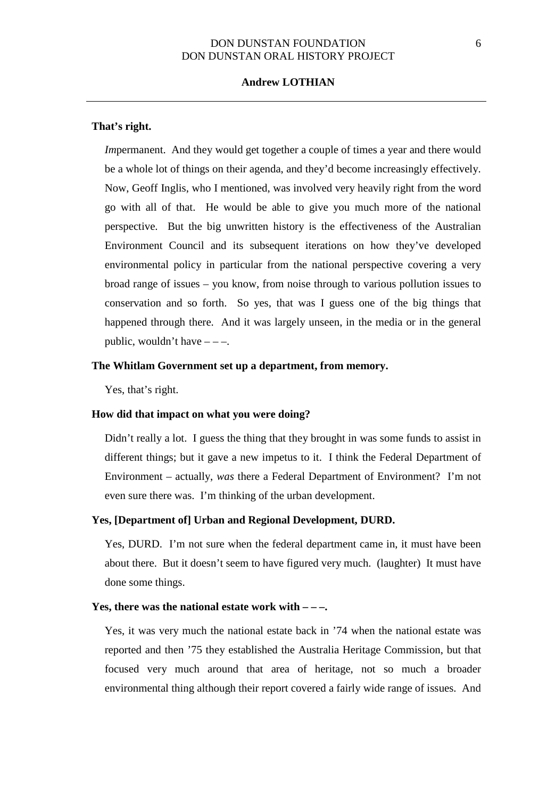### **Andrew LOTHIAN**

#### **That's right.**

*Impermanent.* And they would get together a couple of times a year and there would be a whole lot of things on their agenda, and they'd become increasingly effectively. Now, Geoff Inglis, who I mentioned, was involved very heavily right from the word go with all of that. He would be able to give you much more of the national perspective. But the big unwritten history is the effectiveness of the Australian Environment Council and its subsequent iterations on how they've developed environmental policy in particular from the national perspective covering a very broad range of issues – you know, from noise through to various pollution issues to conservation and so forth. So yes, that was I guess one of the big things that happened through there. And it was largely unseen, in the media or in the general public, wouldn't have  $---$ .

### **The Whitlam Government set up a department, from memory.**

Yes, that's right.

#### **How did that impact on what you were doing?**

Didn't really a lot. I guess the thing that they brought in was some funds to assist in different things; but it gave a new impetus to it. I think the Federal Department of Environment – actually, *was* there a Federal Department of Environment? I'm not even sure there was. I'm thinking of the urban development.

### **Yes, [Department of] Urban and Regional Development, DURD.**

Yes, DURD. I'm not sure when the federal department came in, it must have been about there. But it doesn't seem to have figured very much. (laughter) It must have done some things.

## **Yes, there was the national estate work with – – –.**

Yes, it was very much the national estate back in '74 when the national estate was reported and then '75 they established the Australia Heritage Commission, but that focused very much around that area of heritage, not so much a broader environmental thing although their report covered a fairly wide range of issues. And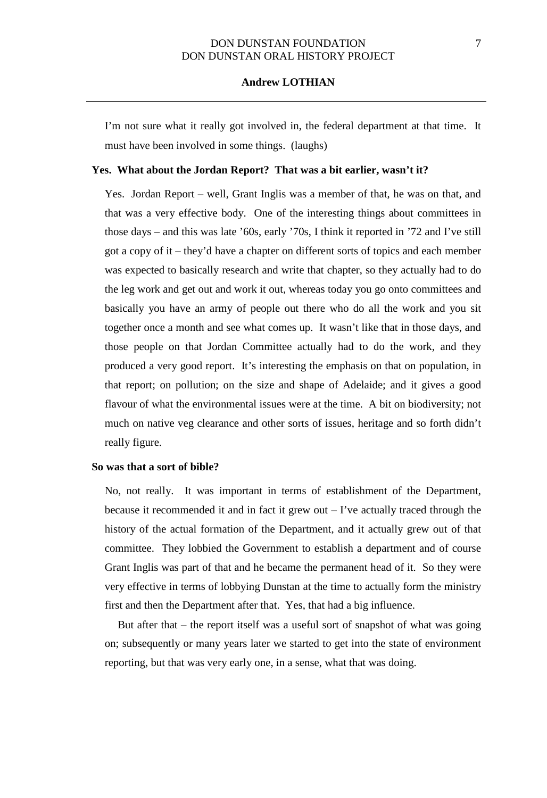## **Andrew LOTHIAN**

I'm not sure what it really got involved in, the federal department at that time. It must have been involved in some things. (laughs)

#### **Yes. What about the Jordan Report? That was a bit earlier, wasn't it?**

Yes. Jordan Report – well, Grant Inglis was a member of that, he was on that, and that was a very effective body. One of the interesting things about committees in those days – and this was late '60s, early '70s, I think it reported in '72 and I've still got a copy of it – they'd have a chapter on different sorts of topics and each member was expected to basically research and write that chapter, so they actually had to do the leg work and get out and work it out, whereas today you go onto committees and basically you have an army of people out there who do all the work and you sit together once a month and see what comes up. It wasn't like that in those days, and those people on that Jordan Committee actually had to do the work, and they produced a very good report. It's interesting the emphasis on that on population, in that report; on pollution; on the size and shape of Adelaide; and it gives a good flavour of what the environmental issues were at the time. A bit on biodiversity; not much on native veg clearance and other sorts of issues, heritage and so forth didn't really figure.

### **So was that a sort of bible?**

No, not really. It was important in terms of establishment of the Department, because it recommended it and in fact it grew out  $-$  I've actually traced through the history of the actual formation of the Department, and it actually grew out of that committee. They lobbied the Government to establish a department and of course Grant Inglis was part of that and he became the permanent head of it. So they were very effective in terms of lobbying Dunstan at the time to actually form the ministry first and then the Department after that. Yes, that had a big influence.

But after that – the report itself was a useful sort of snapshot of what was going on; subsequently or many years later we started to get into the state of environment reporting, but that was very early one, in a sense, what that was doing.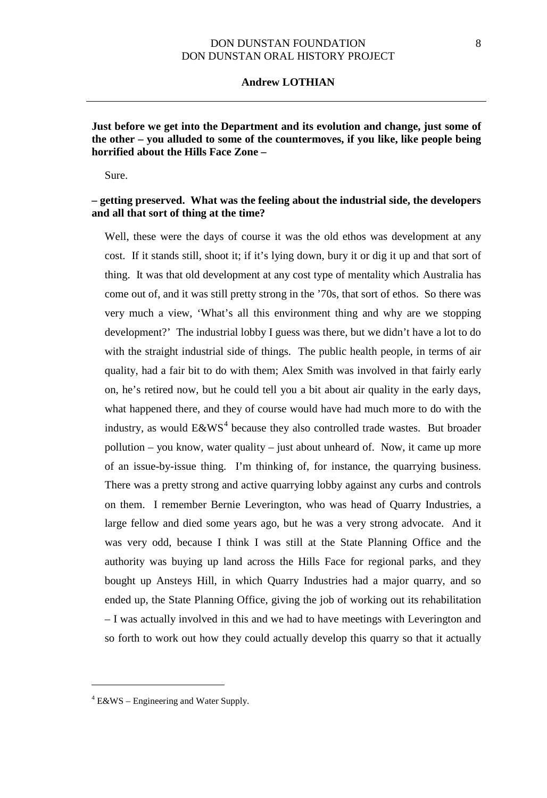#### **Andrew LOTHIAN**

**Just before we get into the Department and its evolution and change, just some of the other – you alluded to some of the countermoves, if you like, like people being horrified about the Hills Face Zone –**

Sure.

## **– getting preserved. What was the feeling about the industrial side, the developers and all that sort of thing at the time?**

Well, these were the days of course it was the old ethos was development at any cost. If it stands still, shoot it; if it's lying down, bury it or dig it up and that sort of thing. It was that old development at any cost type of mentality which Australia has come out of, and it was still pretty strong in the '70s, that sort of ethos. So there was very much a view, 'What's all this environment thing and why are we stopping development?' The industrial lobby I guess was there, but we didn't have a lot to do with the straight industrial side of things. The public health people, in terms of air quality, had a fair bit to do with them; Alex Smith was involved in that fairly early on, he's retired now, but he could tell you a bit about air quality in the early days, what happened there, and they of course would have had much more to do with the industry, as would  $E&WS^4$  $E&WS^4$  because they also controlled trade wastes. But broader pollution – you know, water quality – just about unheard of. Now, it came up more of an issue-by-issue thing. I'm thinking of, for instance, the quarrying business. There was a pretty strong and active quarrying lobby against any curbs and controls on them. I remember Bernie Leverington, who was head of Quarry Industries, a large fellow and died some years ago, but he was a very strong advocate. And it was very odd, because I think I was still at the State Planning Office and the authority was buying up land across the Hills Face for regional parks, and they bought up Ansteys Hill, in which Quarry Industries had a major quarry, and so ended up, the State Planning Office, giving the job of working out its rehabilitation – I was actually involved in this and we had to have meetings with Leverington and so forth to work out how they could actually develop this quarry so that it actually

 $\overline{a}$ 

<span id="page-7-0"></span> $4$  E&WS – Engineering and Water Supply.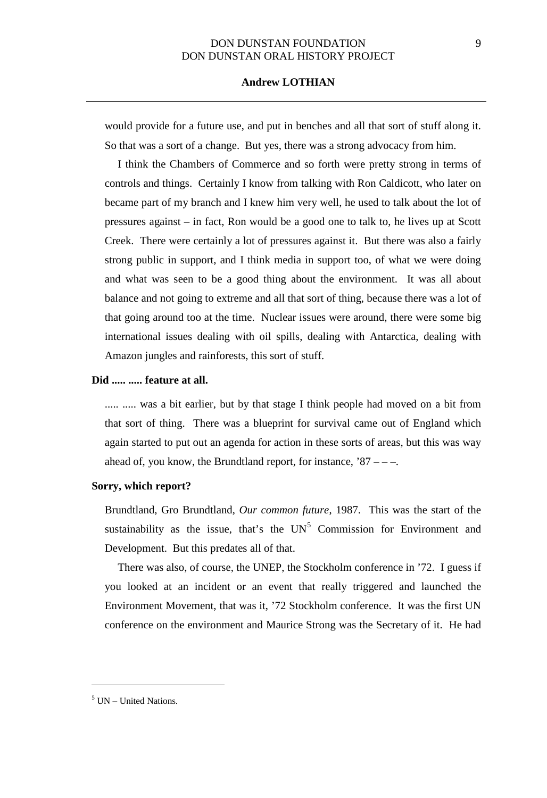## **Andrew LOTHIAN**

would provide for a future use, and put in benches and all that sort of stuff along it. So that was a sort of a change. But yes, there was a strong advocacy from him.

I think the Chambers of Commerce and so forth were pretty strong in terms of controls and things. Certainly I know from talking with Ron Caldicott, who later on became part of my branch and I knew him very well, he used to talk about the lot of pressures against – in fact, Ron would be a good one to talk to, he lives up at Scott Creek. There were certainly a lot of pressures against it. But there was also a fairly strong public in support, and I think media in support too, of what we were doing and what was seen to be a good thing about the environment. It was all about balance and not going to extreme and all that sort of thing, because there was a lot of that going around too at the time. Nuclear issues were around, there were some big international issues dealing with oil spills, dealing with Antarctica, dealing with Amazon jungles and rainforests, this sort of stuff.

#### **Did ..... ..... feature at all.**

..... ..... was a bit earlier, but by that stage I think people had moved on a bit from that sort of thing. There was a blueprint for survival came out of England which again started to put out an agenda for action in these sorts of areas, but this was way ahead of, you know, the Brundtland report, for instance,  $87 - -$ .

#### **Sorry, which report?**

Brundtland, Gro Brundtland, *Our common future*, 1987. This was the start of the sustainability as the issue, that's the  $UN<sup>5</sup>$  $UN<sup>5</sup>$  $UN<sup>5</sup>$  Commission for Environment and Development. But this predates all of that.

There was also, of course, the UNEP, the Stockholm conference in '72. I guess if you looked at an incident or an event that really triggered and launched the Environment Movement, that was it, '72 Stockholm conference. It was the first UN conference on the environment and Maurice Strong was the Secretary of it. He had

 $\overline{a}$ 

<span id="page-8-0"></span> $<sup>5</sup>$  UN – United Nations.</sup>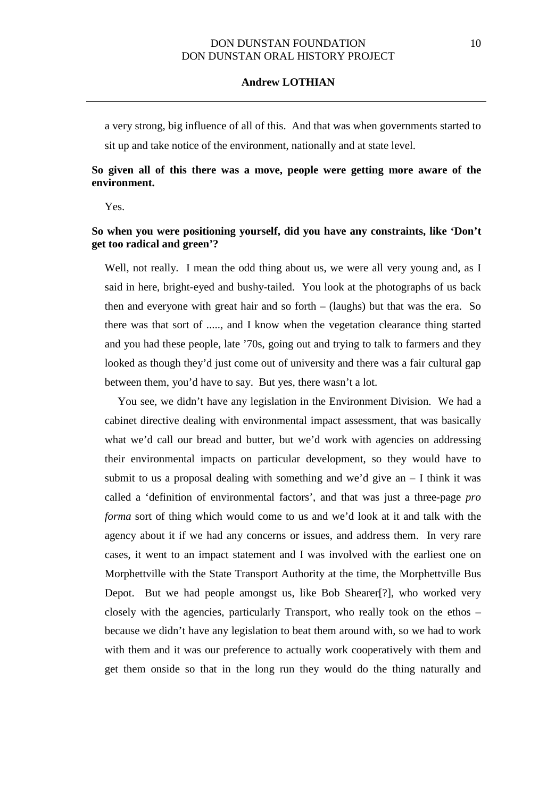a very strong, big influence of all of this. And that was when governments started to sit up and take notice of the environment, nationally and at state level.

## **So given all of this there was a move, people were getting more aware of the environment.**

Yes.

## **So when you were positioning yourself, did you have any constraints, like 'Don't get too radical and green'?**

Well, not really. I mean the odd thing about us, we were all very young and, as I said in here, bright-eyed and bushy-tailed. You look at the photographs of us back then and everyone with great hair and so forth – (laughs) but that was the era. So there was that sort of ....., and I know when the vegetation clearance thing started and you had these people, late '70s, going out and trying to talk to farmers and they looked as though they'd just come out of university and there was a fair cultural gap between them, you'd have to say. But yes, there wasn't a lot.

You see, we didn't have any legislation in the Environment Division. We had a cabinet directive dealing with environmental impact assessment, that was basically what we'd call our bread and butter, but we'd work with agencies on addressing their environmental impacts on particular development, so they would have to submit to us a proposal dealing with something and we'd give an  $-$  I think it was called a 'definition of environmental factors', and that was just a three-page *pro forma* sort of thing which would come to us and we'd look at it and talk with the agency about it if we had any concerns or issues, and address them. In very rare cases, it went to an impact statement and I was involved with the earliest one on Morphettville with the State Transport Authority at the time, the Morphettville Bus Depot. But we had people amongst us, like Bob Shearer[?], who worked very closely with the agencies, particularly Transport, who really took on the ethos – because we didn't have any legislation to beat them around with, so we had to work with them and it was our preference to actually work cooperatively with them and get them onside so that in the long run they would do the thing naturally and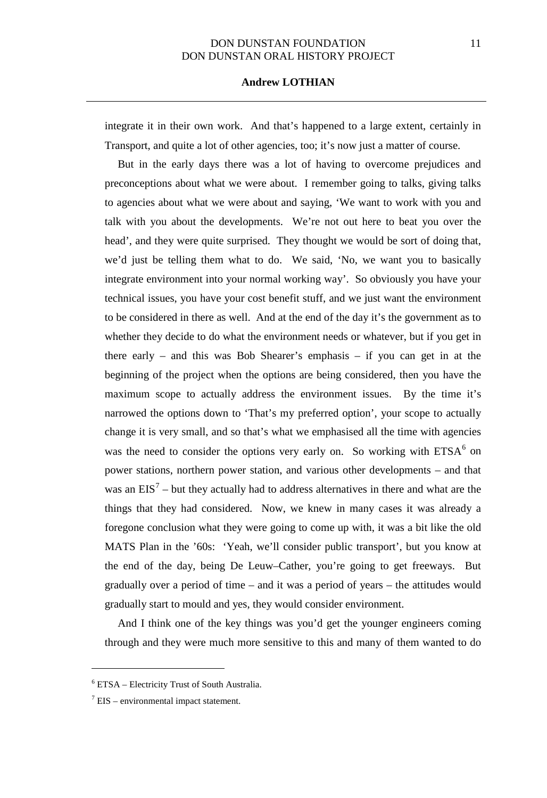integrate it in their own work. And that's happened to a large extent, certainly in Transport, and quite a lot of other agencies, too; it's now just a matter of course.

But in the early days there was a lot of having to overcome prejudices and preconceptions about what we were about. I remember going to talks, giving talks to agencies about what we were about and saying, 'We want to work with you and talk with you about the developments. We're not out here to beat you over the head', and they were quite surprised. They thought we would be sort of doing that, we'd just be telling them what to do. We said, 'No, we want you to basically integrate environment into your normal working way'. So obviously you have your technical issues, you have your cost benefit stuff, and we just want the environment to be considered in there as well. And at the end of the day it's the government as to whether they decide to do what the environment needs or whatever, but if you get in there early – and this was Bob Shearer's emphasis – if you can get in at the beginning of the project when the options are being considered, then you have the maximum scope to actually address the environment issues. By the time it's narrowed the options down to 'That's my preferred option', your scope to actually change it is very small, and so that's what we emphasised all the time with agencies was the need to consider the options very early on. So working with  $ETSA<sup>6</sup>$  $ETSA<sup>6</sup>$  $ETSA<sup>6</sup>$  on power stations, northern power station, and various other developments – and that was an  $EIS<sup>7</sup>$  $EIS<sup>7</sup>$  $EIS<sup>7</sup>$  – but they actually had to address alternatives in there and what are the things that they had considered. Now, we knew in many cases it was already a foregone conclusion what they were going to come up with, it was a bit like the old MATS Plan in the '60s: 'Yeah, we'll consider public transport', but you know at the end of the day, being De Leuw–Cather, you're going to get freeways. But gradually over a period of time – and it was a period of years – the attitudes would gradually start to mould and yes, they would consider environment.

And I think one of the key things was you'd get the younger engineers coming through and they were much more sensitive to this and many of them wanted to do

 $\overline{a}$ 

<sup>6</sup> ETSA – Electricity Trust of South Australia.

<span id="page-10-0"></span> $\frac{7}{1}$  EIS – environmental impact statement.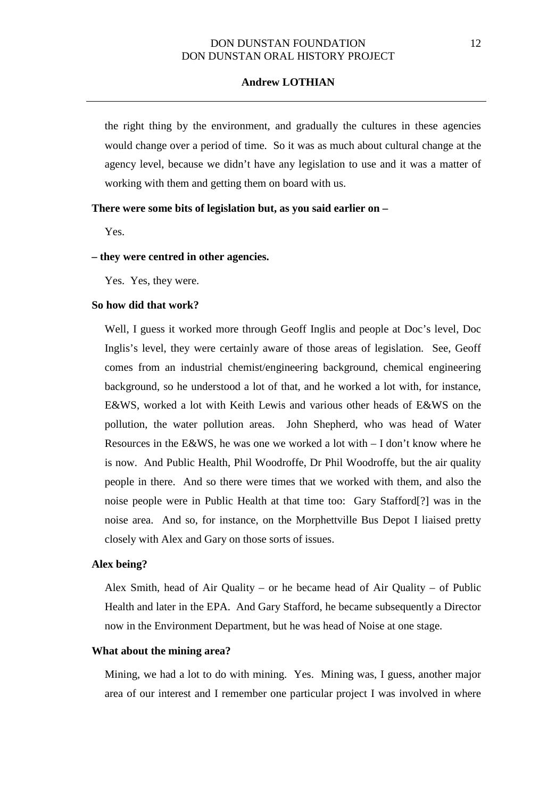the right thing by the environment, and gradually the cultures in these agencies would change over a period of time. So it was as much about cultural change at the agency level, because we didn't have any legislation to use and it was a matter of working with them and getting them on board with us.

## **There were some bits of legislation but, as you said earlier on –**

Yes.

#### **– they were centred in other agencies.**

Yes. Yes, they were.

## **So how did that work?**

Well, I guess it worked more through Geoff Inglis and people at Doc's level, Doc Inglis's level, they were certainly aware of those areas of legislation. See, Geoff comes from an industrial chemist/engineering background, chemical engineering background, so he understood a lot of that, and he worked a lot with, for instance, E&WS, worked a lot with Keith Lewis and various other heads of E&WS on the pollution, the water pollution areas. John Shepherd, who was head of Water Resources in the E&WS, he was one we worked a lot with  $- I$  don't know where he is now. And Public Health, Phil Woodroffe, Dr Phil Woodroffe, but the air quality people in there. And so there were times that we worked with them, and also the noise people were in Public Health at that time too: Gary Stafford[?] was in the noise area. And so, for instance, on the Morphettville Bus Depot I liaised pretty closely with Alex and Gary on those sorts of issues.

## **Alex being?**

Alex Smith, head of Air Quality – or he became head of Air Quality – of Public Health and later in the EPA. And Gary Stafford, he became subsequently a Director now in the Environment Department, but he was head of Noise at one stage.

### **What about the mining area?**

Mining, we had a lot to do with mining. Yes. Mining was, I guess, another major area of our interest and I remember one particular project I was involved in where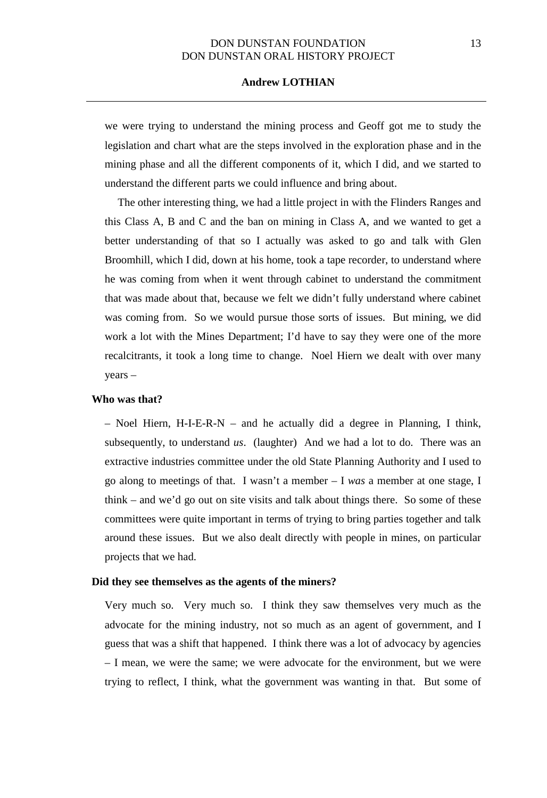## **Andrew LOTHIAN**

we were trying to understand the mining process and Geoff got me to study the legislation and chart what are the steps involved in the exploration phase and in the mining phase and all the different components of it, which I did, and we started to understand the different parts we could influence and bring about.

The other interesting thing, we had a little project in with the Flinders Ranges and this Class A, B and C and the ban on mining in Class A, and we wanted to get a better understanding of that so I actually was asked to go and talk with Glen Broomhill, which I did, down at his home, took a tape recorder, to understand where he was coming from when it went through cabinet to understand the commitment that was made about that, because we felt we didn't fully understand where cabinet was coming from. So we would pursue those sorts of issues. But mining, we did work a lot with the Mines Department; I'd have to say they were one of the more recalcitrants, it took a long time to change. Noel Hiern we dealt with over many years –

#### **Who was that?**

– Noel Hiern, H-I-E-R-N – and he actually did a degree in Planning, I think, subsequently, to understand *us*. (laughter) And we had a lot to do. There was an extractive industries committee under the old State Planning Authority and I used to go along to meetings of that. I wasn't a member – I *was* a member at one stage, I think – and we'd go out on site visits and talk about things there. So some of these committees were quite important in terms of trying to bring parties together and talk around these issues. But we also dealt directly with people in mines, on particular projects that we had.

#### **Did they see themselves as the agents of the miners?**

Very much so. Very much so. I think they saw themselves very much as the advocate for the mining industry, not so much as an agent of government, and I guess that was a shift that happened. I think there was a lot of advocacy by agencies – I mean, we were the same; we were advocate for the environment, but we were trying to reflect, I think, what the government was wanting in that. But some of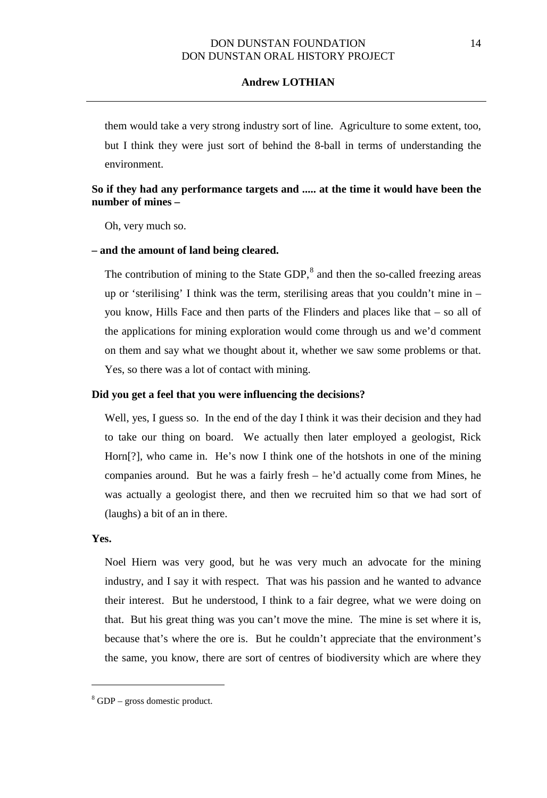them would take a very strong industry sort of line. Agriculture to some extent, too, but I think they were just sort of behind the 8-ball in terms of understanding the environment.

# **So if they had any performance targets and ..... at the time it would have been the number of mines –**

Oh, very much so.

### **– and the amount of land being cleared.**

The contribution of mining to the State GDP, $^8$  $^8$  and then the so-called freezing areas up or 'sterilising' I think was the term, sterilising areas that you couldn't mine in – you know, Hills Face and then parts of the Flinders and places like that – so all of the applications for mining exploration would come through us and we'd comment on them and say what we thought about it, whether we saw some problems or that. Yes, so there was a lot of contact with mining.

#### **Did you get a feel that you were influencing the decisions?**

Well, yes, I guess so. In the end of the day I think it was their decision and they had to take our thing on board. We actually then later employed a geologist, Rick Horn[?], who came in. He's now I think one of the hotshots in one of the mining companies around. But he was a fairly fresh – he'd actually come from Mines, he was actually a geologist there, and then we recruited him so that we had sort of (laughs) a bit of an in there.

## **Yes.**

 $\overline{a}$ 

Noel Hiern was very good, but he was very much an advocate for the mining industry, and I say it with respect. That was his passion and he wanted to advance their interest. But he understood, I think to a fair degree, what we were doing on that. But his great thing was you can't move the mine. The mine is set where it is, because that's where the ore is. But he couldn't appreciate that the environment's the same, you know, there are sort of centres of biodiversity which are where they

<span id="page-13-0"></span> $8$  GDP – gross domestic product.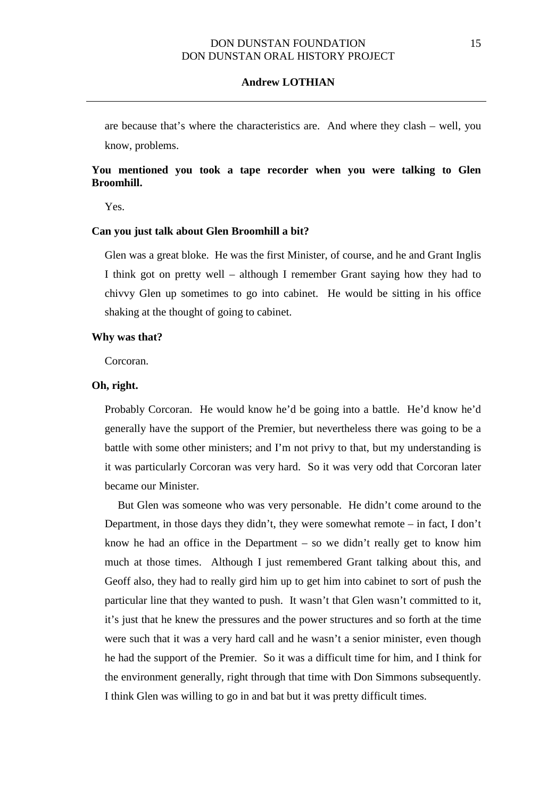are because that's where the characteristics are. And where they clash – well, you know, problems.

## **You mentioned you took a tape recorder when you were talking to Glen Broomhill.**

Yes.

#### **Can you just talk about Glen Broomhill a bit?**

Glen was a great bloke. He was the first Minister, of course, and he and Grant Inglis I think got on pretty well – although I remember Grant saying how they had to chivvy Glen up sometimes to go into cabinet. He would be sitting in his office shaking at the thought of going to cabinet.

#### **Why was that?**

Corcoran.

### **Oh, right.**

Probably Corcoran. He would know he'd be going into a battle. He'd know he'd generally have the support of the Premier, but nevertheless there was going to be a battle with some other ministers; and I'm not privy to that, but my understanding is it was particularly Corcoran was very hard. So it was very odd that Corcoran later became our Minister.

But Glen was someone who was very personable. He didn't come around to the Department, in those days they didn't, they were somewhat remote – in fact, I don't know he had an office in the Department – so we didn't really get to know him much at those times. Although I just remembered Grant talking about this, and Geoff also, they had to really gird him up to get him into cabinet to sort of push the particular line that they wanted to push. It wasn't that Glen wasn't committed to it, it's just that he knew the pressures and the power structures and so forth at the time were such that it was a very hard call and he wasn't a senior minister, even though he had the support of the Premier. So it was a difficult time for him, and I think for the environment generally, right through that time with Don Simmons subsequently. I think Glen was willing to go in and bat but it was pretty difficult times.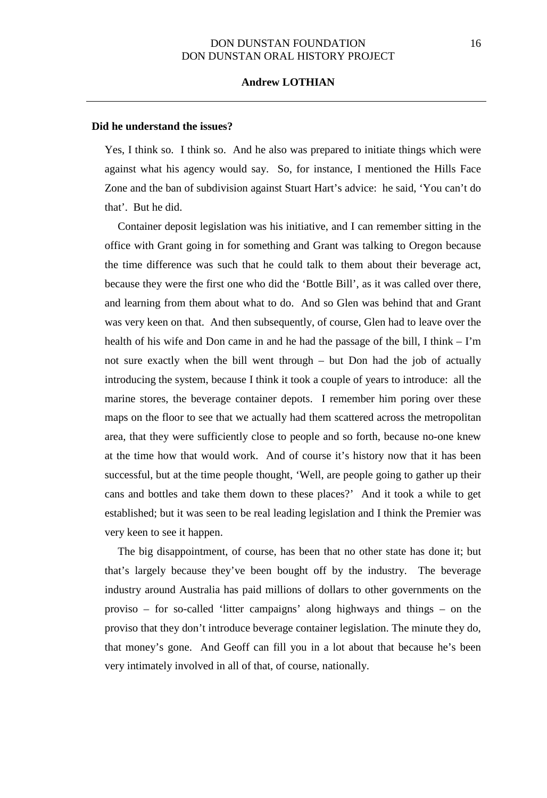#### **Did he understand the issues?**

Yes, I think so. I think so. And he also was prepared to initiate things which were against what his agency would say. So, for instance, I mentioned the Hills Face Zone and the ban of subdivision against Stuart Hart's advice: he said, 'You can't do that'. But he did.

Container deposit legislation was his initiative, and I can remember sitting in the office with Grant going in for something and Grant was talking to Oregon because the time difference was such that he could talk to them about their beverage act, because they were the first one who did the 'Bottle Bill', as it was called over there, and learning from them about what to do. And so Glen was behind that and Grant was very keen on that. And then subsequently, of course, Glen had to leave over the health of his wife and Don came in and he had the passage of the bill, I think – I'm not sure exactly when the bill went through – but Don had the job of actually introducing the system, because I think it took a couple of years to introduce: all the marine stores, the beverage container depots. I remember him poring over these maps on the floor to see that we actually had them scattered across the metropolitan area, that they were sufficiently close to people and so forth, because no-one knew at the time how that would work. And of course it's history now that it has been successful, but at the time people thought, 'Well, are people going to gather up their cans and bottles and take them down to these places?' And it took a while to get established; but it was seen to be real leading legislation and I think the Premier was very keen to see it happen.

The big disappointment, of course, has been that no other state has done it; but that's largely because they've been bought off by the industry. The beverage industry around Australia has paid millions of dollars to other governments on the proviso – for so-called 'litter campaigns' along highways and things – on the proviso that they don't introduce beverage container legislation. The minute they do, that money's gone. And Geoff can fill you in a lot about that because he's been very intimately involved in all of that, of course, nationally.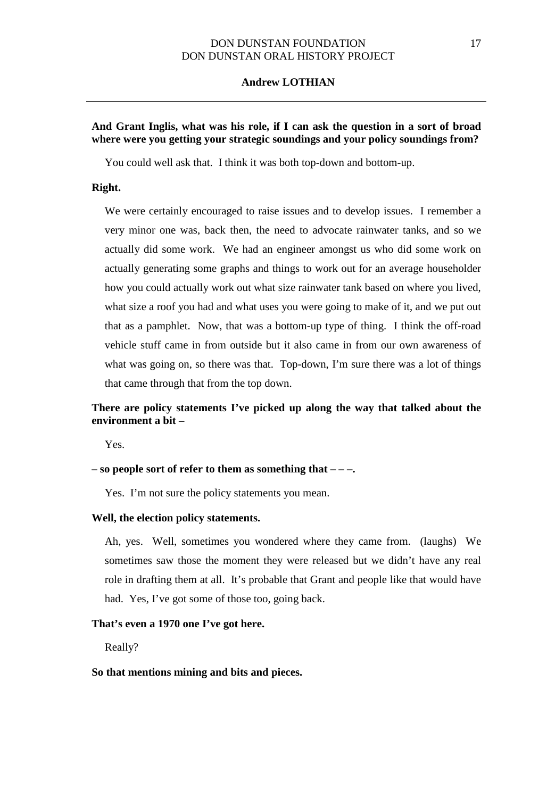### **Andrew LOTHIAN**

# **And Grant Inglis, what was his role, if I can ask the question in a sort of broad where were you getting your strategic soundings and your policy soundings from?**

You could well ask that. I think it was both top-down and bottom-up.

## **Right.**

We were certainly encouraged to raise issues and to develop issues. I remember a very minor one was, back then, the need to advocate rainwater tanks, and so we actually did some work. We had an engineer amongst us who did some work on actually generating some graphs and things to work out for an average householder how you could actually work out what size rainwater tank based on where you lived, what size a roof you had and what uses you were going to make of it, and we put out that as a pamphlet. Now, that was a bottom-up type of thing. I think the off-road vehicle stuff came in from outside but it also came in from our own awareness of what was going on, so there was that. Top-down, I'm sure there was a lot of things that came through that from the top down.

# **There are policy statements I've picked up along the way that talked about the environment a bit –**

Yes.

#### **– so people sort of refer to them as something that – – –.**

Yes. I'm not sure the policy statements you mean.

#### **Well, the election policy statements.**

Ah, yes. Well, sometimes you wondered where they came from. (laughs) We sometimes saw those the moment they were released but we didn't have any real role in drafting them at all. It's probable that Grant and people like that would have had. Yes, I've got some of those too, going back.

## **That's even a 1970 one I've got here.**

Really?

#### **So that mentions mining and bits and pieces.**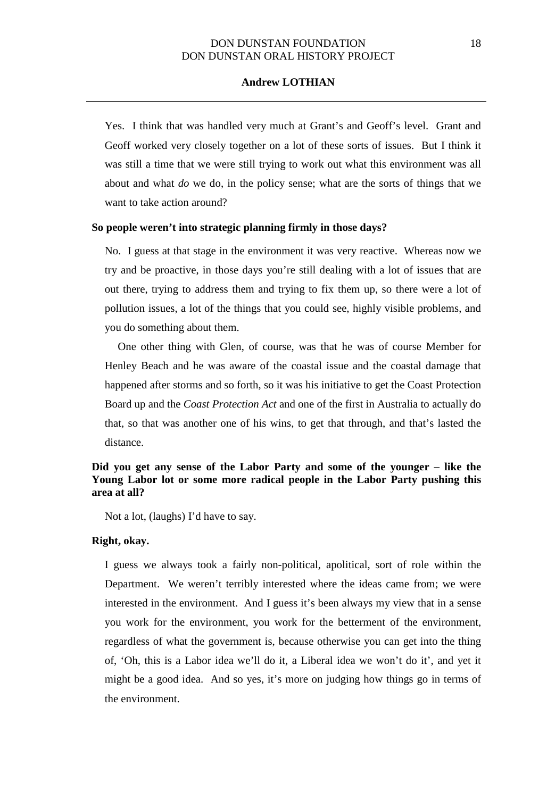## **Andrew LOTHIAN**

Yes. I think that was handled very much at Grant's and Geoff's level. Grant and Geoff worked very closely together on a lot of these sorts of issues. But I think it was still a time that we were still trying to work out what this environment was all about and what *do* we do, in the policy sense; what are the sorts of things that we want to take action around?

### **So people weren't into strategic planning firmly in those days?**

No. I guess at that stage in the environment it was very reactive. Whereas now we try and be proactive, in those days you're still dealing with a lot of issues that are out there, trying to address them and trying to fix them up, so there were a lot of pollution issues, a lot of the things that you could see, highly visible problems, and you do something about them.

One other thing with Glen, of course, was that he was of course Member for Henley Beach and he was aware of the coastal issue and the coastal damage that happened after storms and so forth, so it was his initiative to get the Coast Protection Board up and the *Coast Protection Act* and one of the first in Australia to actually do that, so that was another one of his wins, to get that through, and that's lasted the distance.

## **Did you get any sense of the Labor Party and some of the younger – like the Young Labor lot or some more radical people in the Labor Party pushing this area at all?**

Not a lot, (laughs) I'd have to say.

### **Right, okay.**

I guess we always took a fairly non-political, apolitical, sort of role within the Department. We weren't terribly interested where the ideas came from; we were interested in the environment. And I guess it's been always my view that in a sense you work for the environment, you work for the betterment of the environment, regardless of what the government is, because otherwise you can get into the thing of, 'Oh, this is a Labor idea we'll do it, a Liberal idea we won't do it', and yet it might be a good idea. And so yes, it's more on judging how things go in terms of the environment.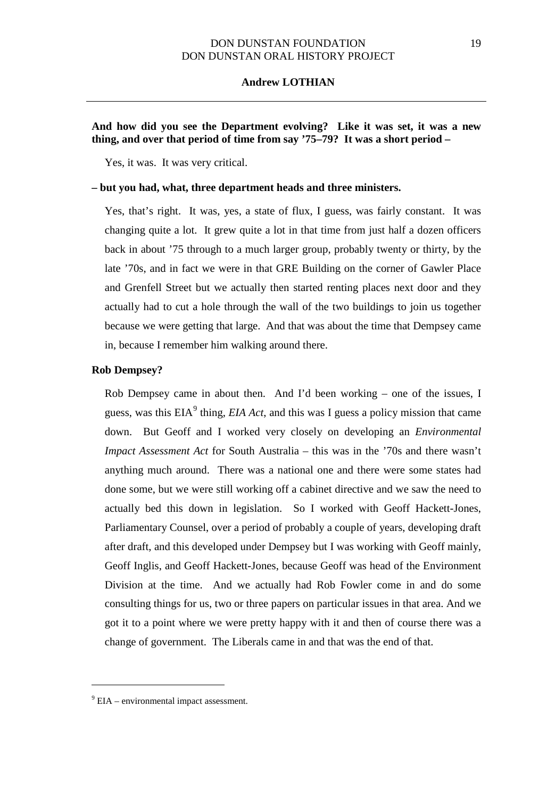#### **Andrew LOTHIAN**

# **And how did you see the Department evolving? Like it was set, it was a new thing, and over that period of time from say '75–79? It was a short period –**

Yes, it was. It was very critical.

## **– but you had, what, three department heads and three ministers.**

Yes, that's right. It was, yes, a state of flux, I guess, was fairly constant. It was changing quite a lot. It grew quite a lot in that time from just half a dozen officers back in about '75 through to a much larger group, probably twenty or thirty, by the late '70s, and in fact we were in that GRE Building on the corner of Gawler Place and Grenfell Street but we actually then started renting places next door and they actually had to cut a hole through the wall of the two buildings to join us together because we were getting that large. And that was about the time that Dempsey came in, because I remember him walking around there.

#### **Rob Dempsey?**

Rob Dempsey came in about then. And I'd been working – one of the issues, I guess, was this  $EIA<sup>9</sup>$  $EIA<sup>9</sup>$  $EIA<sup>9</sup>$  thing, *EIA Act*, and this was I guess a policy mission that came down. But Geoff and I worked very closely on developing an *Environmental Impact Assessment Act* for South Australia – this was in the '70s and there wasn't anything much around. There was a national one and there were some states had done some, but we were still working off a cabinet directive and we saw the need to actually bed this down in legislation. So I worked with Geoff Hackett-Jones, Parliamentary Counsel, over a period of probably a couple of years, developing draft after draft, and this developed under Dempsey but I was working with Geoff mainly, Geoff Inglis, and Geoff Hackett-Jones, because Geoff was head of the Environment Division at the time. And we actually had Rob Fowler come in and do some consulting things for us, two or three papers on particular issues in that area. And we got it to a point where we were pretty happy with it and then of course there was a change of government. The Liberals came in and that was the end of that.

 $\overline{a}$ 

 $9$  EIA – environmental impact assessment.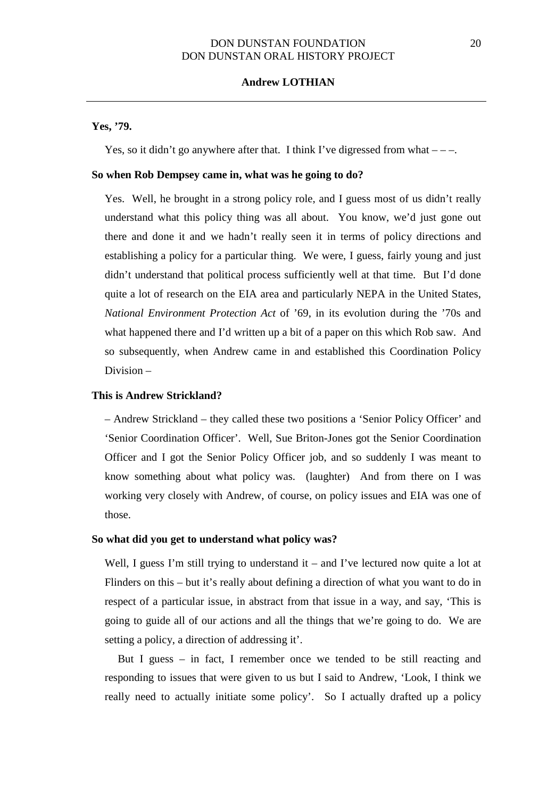### **Yes, '79.**

Yes, so it didn't go anywhere after that. I think I've digressed from what  $---$ .

#### **So when Rob Dempsey came in, what was he going to do?**

Yes. Well, he brought in a strong policy role, and I guess most of us didn't really understand what this policy thing was all about. You know, we'd just gone out there and done it and we hadn't really seen it in terms of policy directions and establishing a policy for a particular thing. We were, I guess, fairly young and just didn't understand that political process sufficiently well at that time. But I'd done quite a lot of research on the EIA area and particularly NEPA in the United States, *National Environment Protection Act* of '69, in its evolution during the '70s and what happened there and I'd written up a bit of a paper on this which Rob saw. And so subsequently, when Andrew came in and established this Coordination Policy Division –

### **This is Andrew Strickland?**

– Andrew Strickland – they called these two positions a 'Senior Policy Officer' and 'Senior Coordination Officer'. Well, Sue Briton-Jones got the Senior Coordination Officer and I got the Senior Policy Officer job, and so suddenly I was meant to know something about what policy was. (laughter) And from there on I was working very closely with Andrew, of course, on policy issues and EIA was one of those.

#### **So what did you get to understand what policy was?**

Well, I guess I'm still trying to understand it – and I've lectured now quite a lot at Flinders on this – but it's really about defining a direction of what you want to do in respect of a particular issue, in abstract from that issue in a way, and say, 'This is going to guide all of our actions and all the things that we're going to do. We are setting a policy, a direction of addressing it'.

But I guess – in fact, I remember once we tended to be still reacting and responding to issues that were given to us but I said to Andrew, 'Look, I think we really need to actually initiate some policy'. So I actually drafted up a policy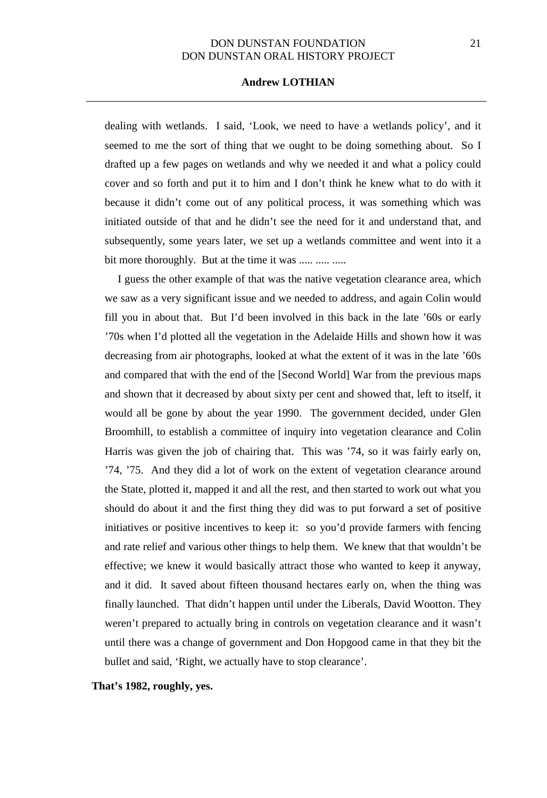## **Andrew LOTHIAN**

dealing with wetlands. I said, 'Look, we need to have a wetlands policy', and it seemed to me the sort of thing that we ought to be doing something about. So I drafted up a few pages on wetlands and why we needed it and what a policy could cover and so forth and put it to him and I don't think he knew what to do with it because it didn't come out of any political process, it was something which was initiated outside of that and he didn't see the need for it and understand that, and subsequently, some years later, we set up a wetlands committee and went into it a bit more thoroughly. But at the time it was ..... ..... .....

I guess the other example of that was the native vegetation clearance area, which we saw as a very significant issue and we needed to address, and again Colin would fill you in about that. But I'd been involved in this back in the late '60s or early '70s when I'd plotted all the vegetation in the Adelaide Hills and shown how it was decreasing from air photographs, looked at what the extent of it was in the late '60s and compared that with the end of the [Second World] War from the previous maps and shown that it decreased by about sixty per cent and showed that, left to itself, it would all be gone by about the year 1990. The government decided, under Glen Broomhill, to establish a committee of inquiry into vegetation clearance and Colin Harris was given the job of chairing that. This was '74, so it was fairly early on, '74, '75. And they did a lot of work on the extent of vegetation clearance around the State, plotted it, mapped it and all the rest, and then started to work out what you should do about it and the first thing they did was to put forward a set of positive initiatives or positive incentives to keep it: so you'd provide farmers with fencing and rate relief and various other things to help them. We knew that that wouldn't be effective; we knew it would basically attract those who wanted to keep it anyway, and it did. It saved about fifteen thousand hectares early on, when the thing was finally launched. That didn't happen until under the Liberals, David Wootton. They weren't prepared to actually bring in controls on vegetation clearance and it wasn't until there was a change of government and Don Hopgood came in that they bit the bullet and said, 'Right, we actually have to stop clearance'.

**That's 1982, roughly, yes.**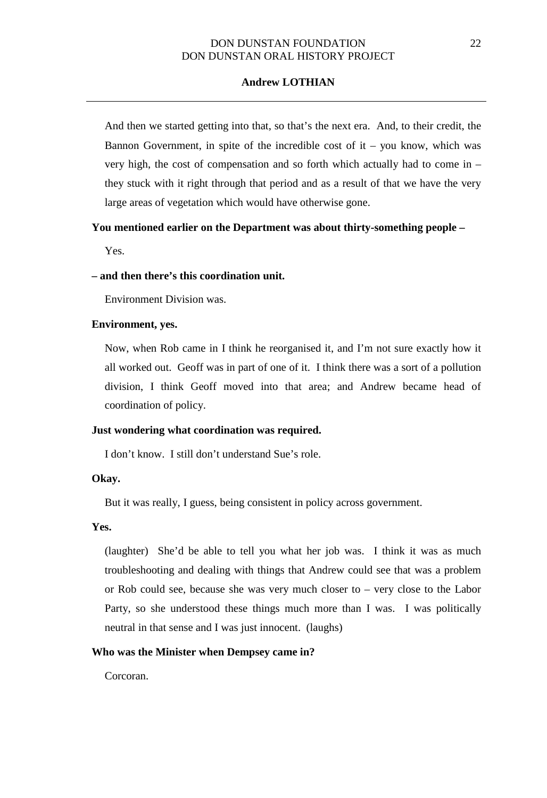## **Andrew LOTHIAN**

And then we started getting into that, so that's the next era. And, to their credit, the Bannon Government, in spite of the incredible cost of  $it$  – you know, which was very high, the cost of compensation and so forth which actually had to come in – they stuck with it right through that period and as a result of that we have the very large areas of vegetation which would have otherwise gone.

## **You mentioned earlier on the Department was about thirty-something people –**

Yes.

### **– and then there's this coordination unit.**

Environment Division was.

## **Environment, yes.**

Now, when Rob came in I think he reorganised it, and I'm not sure exactly how it all worked out. Geoff was in part of one of it. I think there was a sort of a pollution division, I think Geoff moved into that area; and Andrew became head of coordination of policy.

## **Just wondering what coordination was required.**

I don't know. I still don't understand Sue's role.

#### **Okay.**

But it was really, I guess, being consistent in policy across government.

### **Yes.**

(laughter) She'd be able to tell you what her job was. I think it was as much troubleshooting and dealing with things that Andrew could see that was a problem or Rob could see, because she was very much closer to – very close to the Labor Party, so she understood these things much more than I was. I was politically neutral in that sense and I was just innocent. (laughs)

### **Who was the Minister when Dempsey came in?**

Corcoran.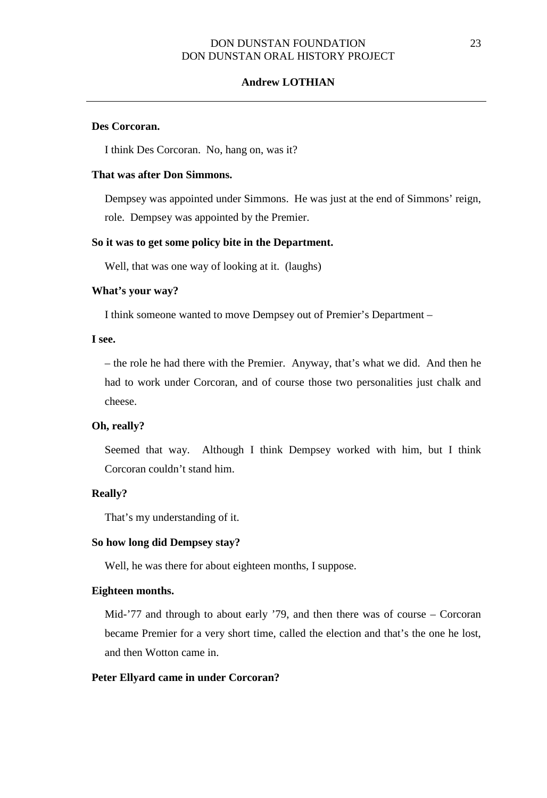### **Andrew LOTHIAN**

## **Des Corcoran.**

I think Des Corcoran. No, hang on, was it?

## **That was after Don Simmons.**

Dempsey was appointed under Simmons. He was just at the end of Simmons' reign, role. Dempsey was appointed by the Premier.

#### **So it was to get some policy bite in the Department.**

Well, that was one way of looking at it. (laughs)

## **What's your way?**

I think someone wanted to move Dempsey out of Premier's Department –

## **I see.**

– the role he had there with the Premier. Anyway, that's what we did. And then he had to work under Corcoran, and of course those two personalities just chalk and cheese.

#### **Oh, really?**

Seemed that way. Although I think Dempsey worked with him, but I think Corcoran couldn't stand him.

#### **Really?**

That's my understanding of it.

### **So how long did Dempsey stay?**

Well, he was there for about eighteen months, I suppose.

### **Eighteen months.**

Mid-'77 and through to about early '79, and then there was of course – Corcoran became Premier for a very short time, called the election and that's the one he lost, and then Wotton came in.

#### **Peter Ellyard came in under Corcoran?**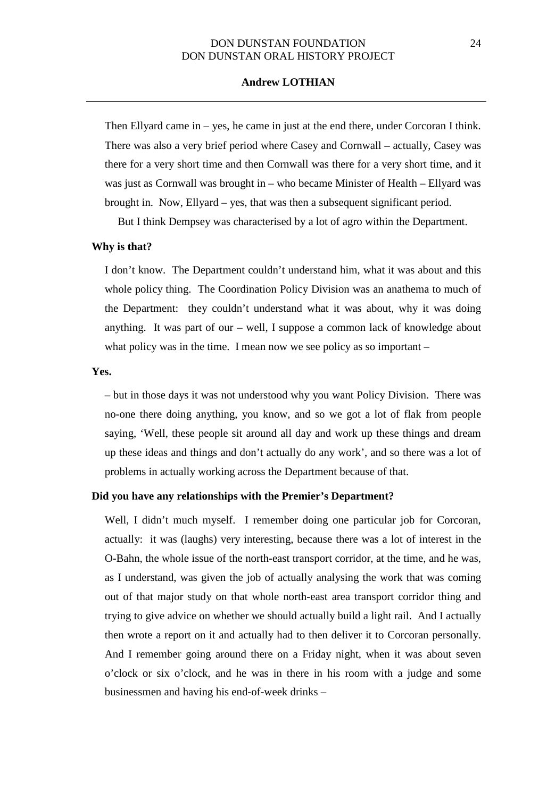## **Andrew LOTHIAN**

Then Ellyard came in – yes, he came in just at the end there, under Corcoran I think. There was also a very brief period where Casey and Cornwall – actually, Casey was there for a very short time and then Cornwall was there for a very short time, and it was just as Cornwall was brought in – who became Minister of Health – Ellyard was brought in. Now, Ellyard – yes, that was then a subsequent significant period.

But I think Dempsey was characterised by a lot of agro within the Department.

### **Why is that?**

I don't know. The Department couldn't understand him, what it was about and this whole policy thing. The Coordination Policy Division was an anathema to much of the Department: they couldn't understand what it was about, why it was doing anything. It was part of our – well, I suppose a common lack of knowledge about what policy was in the time. I mean now we see policy as so important –

#### **Yes.**

– but in those days it was not understood why you want Policy Division. There was no-one there doing anything, you know, and so we got a lot of flak from people saying, 'Well, these people sit around all day and work up these things and dream up these ideas and things and don't actually do any work', and so there was a lot of problems in actually working across the Department because of that.

### **Did you have any relationships with the Premier's Department?**

Well, I didn't much myself. I remember doing one particular job for Corcoran, actually: it was (laughs) very interesting, because there was a lot of interest in the O-Bahn, the whole issue of the north-east transport corridor, at the time, and he was, as I understand, was given the job of actually analysing the work that was coming out of that major study on that whole north-east area transport corridor thing and trying to give advice on whether we should actually build a light rail. And I actually then wrote a report on it and actually had to then deliver it to Corcoran personally. And I remember going around there on a Friday night, when it was about seven o'clock or six o'clock, and he was in there in his room with a judge and some businessmen and having his end-of-week drinks –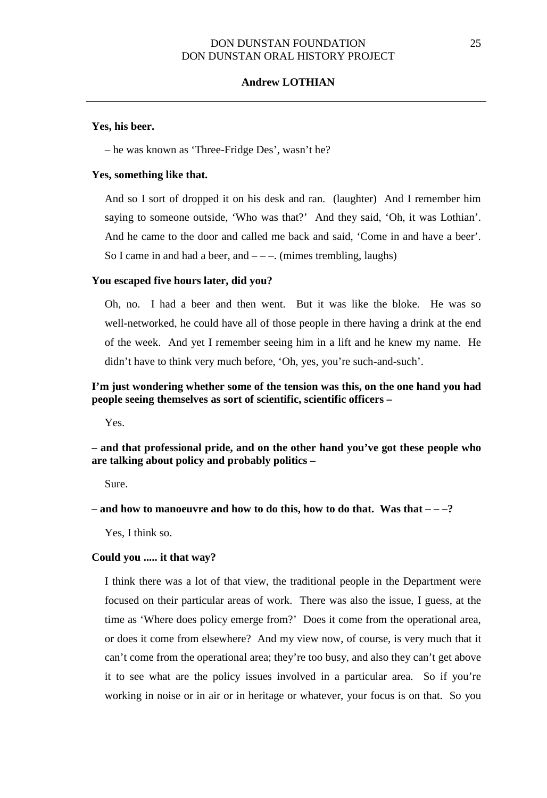## **Andrew LOTHIAN**

#### **Yes, his beer.**

– he was known as 'Three-Fridge Des', wasn't he?

#### **Yes, something like that.**

And so I sort of dropped it on his desk and ran. (laughter) And I remember him saying to someone outside, 'Who was that?' And they said, 'Oh, it was Lothian'. And he came to the door and called me back and said, 'Come in and have a beer'. So I came in and had a beer, and  $---$ . (mimes trembling, laughs)

### **You escaped five hours later, did you?**

Oh, no. I had a beer and then went. But it was like the bloke. He was so well-networked, he could have all of those people in there having a drink at the end of the week. And yet I remember seeing him in a lift and he knew my name. He didn't have to think very much before, 'Oh, yes, you're such-and-such'.

## **I'm just wondering whether some of the tension was this, on the one hand you had people seeing themselves as sort of scientific, scientific officers –**

Yes.

**– and that professional pride, and on the other hand you've got these people who are talking about policy and probably politics –**

Sure.

**– and how to manoeuvre and how to do this, how to do that. Was that – – –?**

Yes, I think so.

### **Could you ..... it that way?**

I think there was a lot of that view, the traditional people in the Department were focused on their particular areas of work. There was also the issue, I guess, at the time as 'Where does policy emerge from?' Does it come from the operational area, or does it come from elsewhere? And my view now, of course, is very much that it can't come from the operational area; they're too busy, and also they can't get above it to see what are the policy issues involved in a particular area. So if you're working in noise or in air or in heritage or whatever, your focus is on that. So you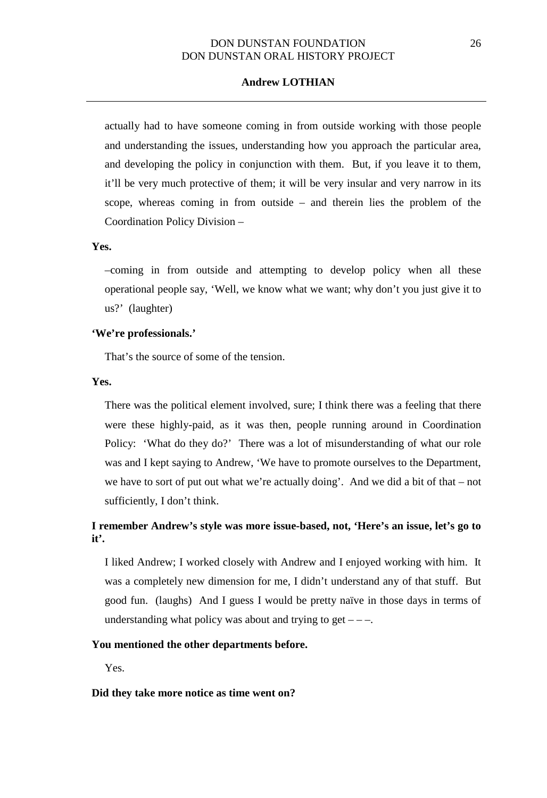## **Andrew LOTHIAN**

actually had to have someone coming in from outside working with those people and understanding the issues, understanding how you approach the particular area, and developing the policy in conjunction with them. But, if you leave it to them, it'll be very much protective of them; it will be very insular and very narrow in its scope, whereas coming in from outside – and therein lies the problem of the Coordination Policy Division –

#### **Yes.**

–coming in from outside and attempting to develop policy when all these operational people say, 'Well, we know what we want; why don't you just give it to us?' (laughter)

#### **'We're professionals.'**

That's the source of some of the tension.

## **Yes.**

There was the political element involved, sure; I think there was a feeling that there were these highly-paid, as it was then, people running around in Coordination Policy: 'What do they do?' There was a lot of misunderstanding of what our role was and I kept saying to Andrew, 'We have to promote ourselves to the Department, we have to sort of put out what we're actually doing'. And we did a bit of that – not sufficiently, I don't think.

# **I remember Andrew's style was more issue-based, not, 'Here's an issue, let's go to it'.**

I liked Andrew; I worked closely with Andrew and I enjoyed working with him. It was a completely new dimension for me, I didn't understand any of that stuff. But good fun. (laughs) And I guess I would be pretty naïve in those days in terms of understanding what policy was about and trying to get  $---$ .

## **You mentioned the other departments before.**

Yes.

### **Did they take more notice as time went on?**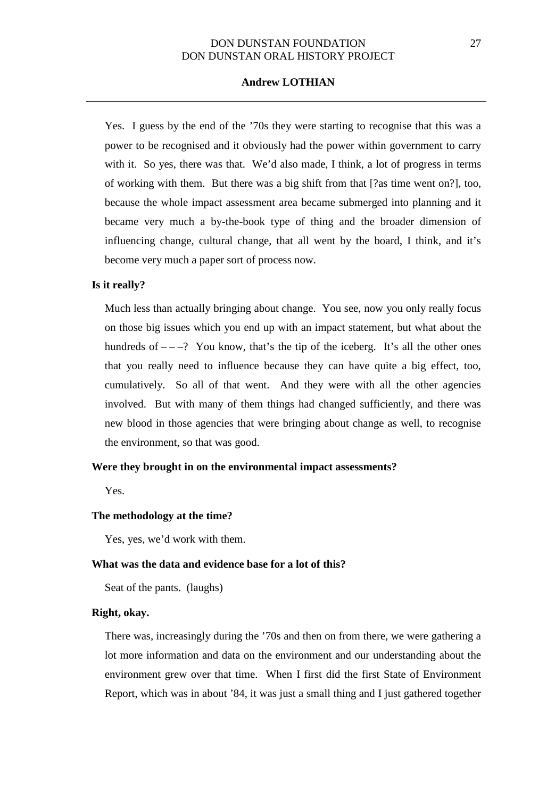## **Andrew LOTHIAN**

Yes. I guess by the end of the '70s they were starting to recognise that this was a power to be recognised and it obviously had the power within government to carry with it. So yes, there was that. We'd also made, I think, a lot of progress in terms of working with them. But there was a big shift from that [?as time went on?], too, because the whole impact assessment area became submerged into planning and it became very much a by-the-book type of thing and the broader dimension of influencing change, cultural change, that all went by the board, I think, and it's become very much a paper sort of process now.

### **Is it really?**

Much less than actually bringing about change. You see, now you only really focus on those big issues which you end up with an impact statement, but what about the hundreds of  $-\frac{1}{2}$  You know, that's the tip of the iceberg. It's all the other ones that you really need to influence because they can have quite a big effect, too, cumulatively. So all of that went. And they were with all the other agencies involved. But with many of them things had changed sufficiently, and there was new blood in those agencies that were bringing about change as well, to recognise the environment, so that was good.

#### **Were they brought in on the environmental impact assessments?**

Yes.

#### **The methodology at the time?**

Yes, yes, we'd work with them.

### **What was the data and evidence base for a lot of this?**

Seat of the pants. (laughs)

## **Right, okay.**

There was, increasingly during the '70s and then on from there, we were gathering a lot more information and data on the environment and our understanding about the environment grew over that time. When I first did the first State of Environment Report, which was in about '84, it was just a small thing and I just gathered together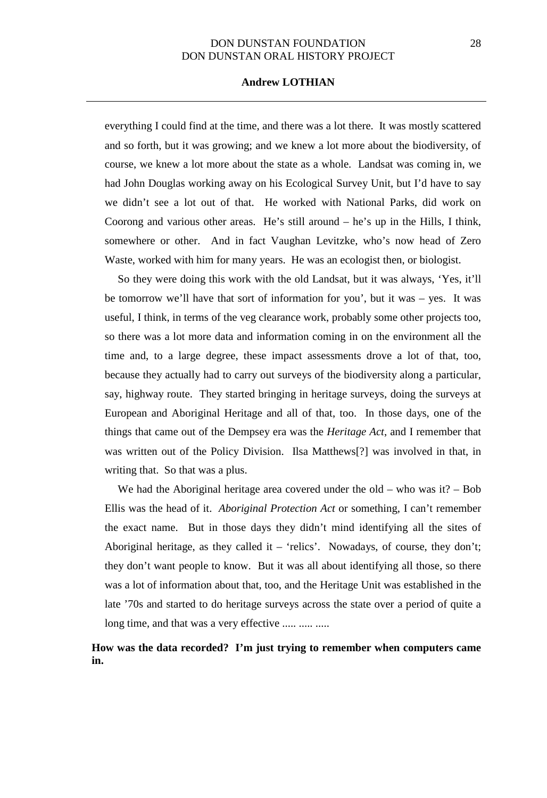## **Andrew LOTHIAN**

everything I could find at the time, and there was a lot there. It was mostly scattered and so forth, but it was growing; and we knew a lot more about the biodiversity, of course, we knew a lot more about the state as a whole. Landsat was coming in, we had John Douglas working away on his Ecological Survey Unit, but I'd have to say we didn't see a lot out of that. He worked with National Parks, did work on Coorong and various other areas. He's still around – he's up in the Hills, I think, somewhere or other. And in fact Vaughan Levitzke, who's now head of Zero Waste, worked with him for many years. He was an ecologist then, or biologist.

So they were doing this work with the old Landsat, but it was always, 'Yes, it'll be tomorrow we'll have that sort of information for you', but it was – yes. It was useful, I think, in terms of the veg clearance work, probably some other projects too, so there was a lot more data and information coming in on the environment all the time and, to a large degree, these impact assessments drove a lot of that, too, because they actually had to carry out surveys of the biodiversity along a particular, say, highway route. They started bringing in heritage surveys, doing the surveys at European and Aboriginal Heritage and all of that, too. In those days, one of the things that came out of the Dempsey era was the *Heritage Act*, and I remember that was written out of the Policy Division. Ilsa Matthews[?] was involved in that, in writing that. So that was a plus.

We had the Aboriginal heritage area covered under the old – who was it?  $-$  Bob Ellis was the head of it. *Aboriginal Protection Act* or something, I can't remember the exact name. But in those days they didn't mind identifying all the sites of Aboriginal heritage, as they called it – 'relics'. Nowadays, of course, they don't; they don't want people to know. But it was all about identifying all those, so there was a lot of information about that, too, and the Heritage Unit was established in the late '70s and started to do heritage surveys across the state over a period of quite a long time, and that was a very effective ..... ..... .....

## **How was the data recorded? I'm just trying to remember when computers came in.**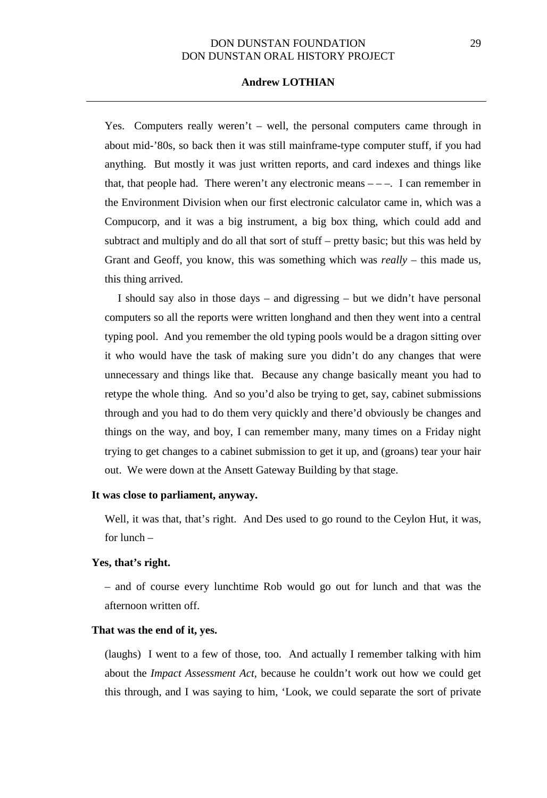## **Andrew LOTHIAN**

Yes. Computers really weren't  $-$  well, the personal computers came through in about mid-'80s, so back then it was still mainframe-type computer stuff, if you had anything. But mostly it was just written reports, and card indexes and things like that, that people had. There weren't any electronic means  $---$ . I can remember in the Environment Division when our first electronic calculator came in, which was a Compucorp, and it was a big instrument, a big box thing, which could add and subtract and multiply and do all that sort of stuff – pretty basic; but this was held by Grant and Geoff, you know, this was something which was *really* – this made us, this thing arrived.

I should say also in those days – and digressing – but we didn't have personal computers so all the reports were written longhand and then they went into a central typing pool. And you remember the old typing pools would be a dragon sitting over it who would have the task of making sure you didn't do any changes that were unnecessary and things like that. Because any change basically meant you had to retype the whole thing. And so you'd also be trying to get, say, cabinet submissions through and you had to do them very quickly and there'd obviously be changes and things on the way, and boy, I can remember many, many times on a Friday night trying to get changes to a cabinet submission to get it up, and (groans) tear your hair out. We were down at the Ansett Gateway Building by that stage.

## **It was close to parliament, anyway.**

Well, it was that, that's right. And Des used to go round to the Ceylon Hut, it was, for lunch –

#### **Yes, that's right.**

– and of course every lunchtime Rob would go out for lunch and that was the afternoon written off.

#### **That was the end of it, yes.**

(laughs) I went to a few of those, too. And actually I remember talking with him about the *Impact Assessment Act*, because he couldn't work out how we could get this through, and I was saying to him, 'Look, we could separate the sort of private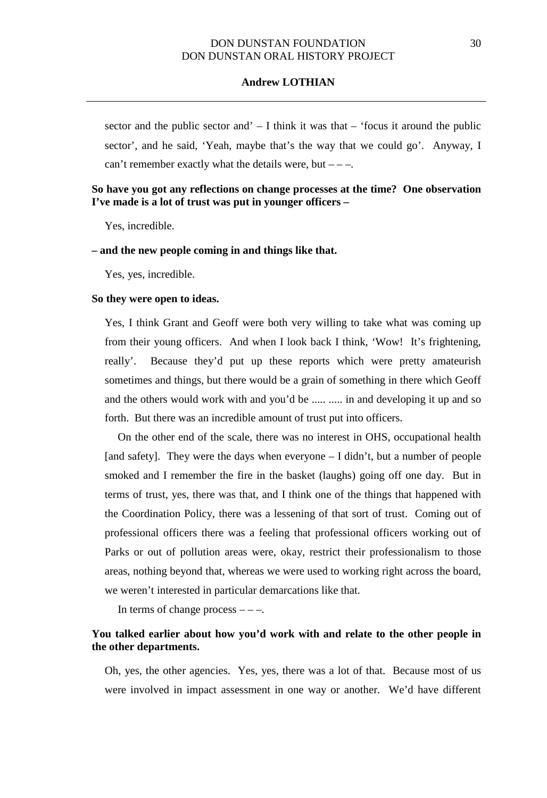sector and the public sector and  $-1$  think it was that  $-$  'focus it around the public sector', and he said, 'Yeah, maybe that's the way that we could go'. Anyway, I can't remember exactly what the details were, but  $---$ .

## **So have you got any reflections on change processes at the time? One observation I've made is a lot of trust was put in younger officers –**

Yes, incredible.

### **– and the new people coming in and things like that.**

Yes, yes, incredible.

#### **So they were open to ideas.**

Yes, I think Grant and Geoff were both very willing to take what was coming up from their young officers. And when I look back I think, 'Wow! It's frightening, really'. Because they'd put up these reports which were pretty amateurish sometimes and things, but there would be a grain of something in there which Geoff and the others would work with and you'd be ..... ..... in and developing it up and so forth. But there was an incredible amount of trust put into officers.

On the other end of the scale, there was no interest in OHS, occupational health [and safety]. They were the days when everyone – I didn't, but a number of people smoked and I remember the fire in the basket (laughs) going off one day. But in terms of trust, yes, there was that, and I think one of the things that happened with the Coordination Policy, there was a lessening of that sort of trust. Coming out of professional officers there was a feeling that professional officers working out of Parks or out of pollution areas were, okay, restrict their professionalism to those areas, nothing beyond that, whereas we were used to working right across the board, we weren't interested in particular demarcations like that.

In terms of change process  $---$ .

## **You talked earlier about how you'd work with and relate to the other people in the other departments.**

Oh, yes, the other agencies. Yes, yes, there was a lot of that. Because most of us were involved in impact assessment in one way or another. We'd have different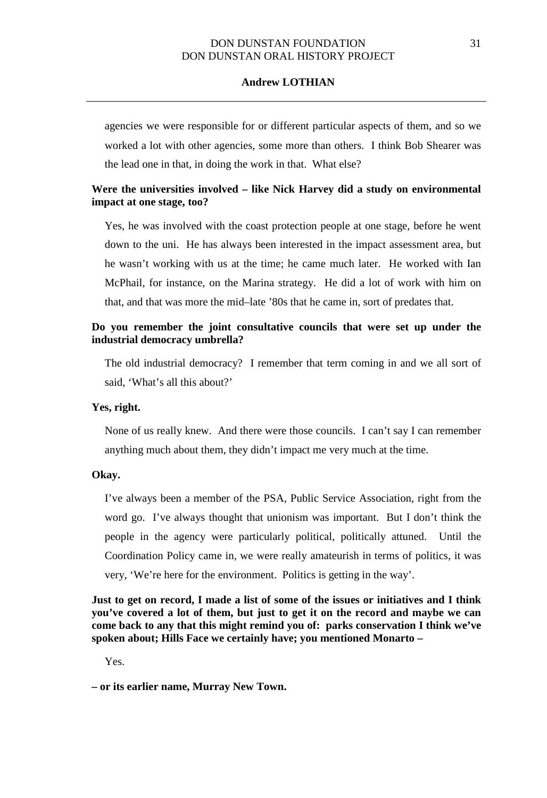agencies we were responsible for or different particular aspects of them, and so we worked a lot with other agencies, some more than others. I think Bob Shearer was the lead one in that, in doing the work in that. What else?

## **Were the universities involved – like Nick Harvey did a study on environmental impact at one stage, too?**

Yes, he was involved with the coast protection people at one stage, before he went down to the uni. He has always been interested in the impact assessment area, but he wasn't working with us at the time; he came much later. He worked with Ian McPhail, for instance, on the Marina strategy. He did a lot of work with him on that, and that was more the mid–late '80s that he came in, sort of predates that.

## **Do you remember the joint consultative councils that were set up under the industrial democracy umbrella?**

The old industrial democracy? I remember that term coming in and we all sort of said, 'What's all this about?'

## **Yes, right.**

None of us really knew. And there were those councils. I can't say I can remember anything much about them, they didn't impact me very much at the time.

### **Okay.**

I've always been a member of the PSA, Public Service Association, right from the word go. I've always thought that unionism was important. But I don't think the people in the agency were particularly political, politically attuned. Until the Coordination Policy came in, we were really amateurish in terms of politics, it was very, 'We're here for the environment. Politics is getting in the way'.

**Just to get on record, I made a list of some of the issues or initiatives and I think you've covered a lot of them, but just to get it on the record and maybe we can come back to any that this might remind you of: parks conservation I think we've spoken about; Hills Face we certainly have; you mentioned Monarto –**

Yes.

**<sup>–</sup> or its earlier name, Murray New Town.**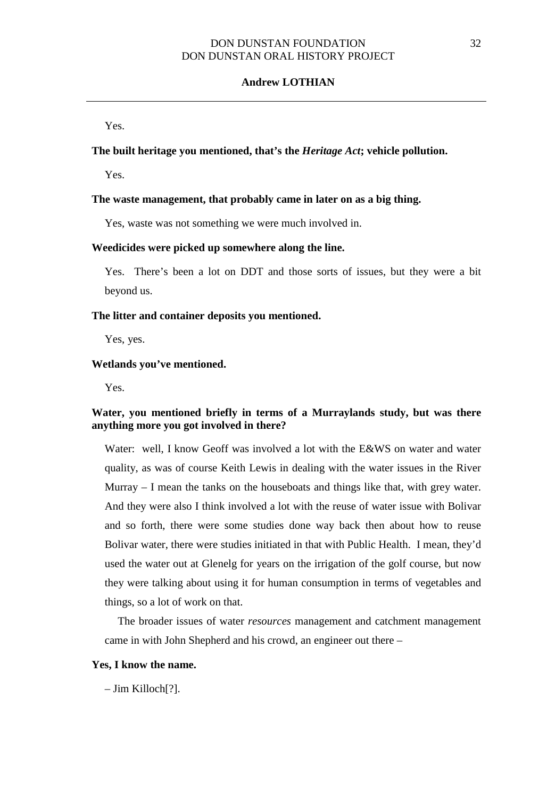Yes.

### **The built heritage you mentioned, that's the** *Heritage Act***; vehicle pollution.**

Yes.

#### **The waste management, that probably came in later on as a big thing.**

Yes, waste was not something we were much involved in.

#### **Weedicides were picked up somewhere along the line.**

Yes. There's been a lot on DDT and those sorts of issues, but they were a bit beyond us.

#### **The litter and container deposits you mentioned.**

Yes, yes.

### **Wetlands you've mentioned.**

Yes.

## **Water, you mentioned briefly in terms of a Murraylands study, but was there anything more you got involved in there?**

Water: well, I know Geoff was involved a lot with the E&WS on water and water quality, as was of course Keith Lewis in dealing with the water issues in the River Murray – I mean the tanks on the houseboats and things like that, with grey water. And they were also I think involved a lot with the reuse of water issue with Bolivar and so forth, there were some studies done way back then about how to reuse Bolivar water, there were studies initiated in that with Public Health. I mean, they'd used the water out at Glenelg for years on the irrigation of the golf course, but now they were talking about using it for human consumption in terms of vegetables and things, so a lot of work on that.

The broader issues of water *resources* management and catchment management came in with John Shepherd and his crowd, an engineer out there –

#### **Yes, I know the name.**

– Jim Killoch[?].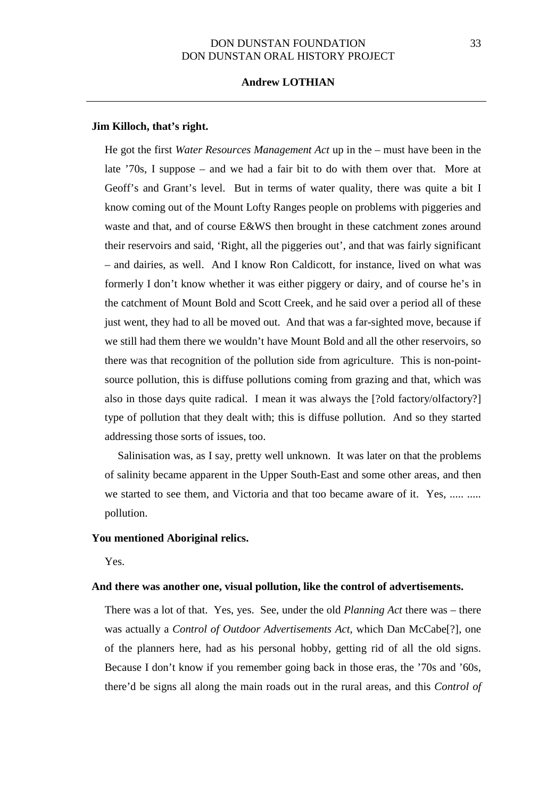### **Andrew LOTHIAN**

#### **Jim Killoch, that's right.**

He got the first *Water Resources Management Act* up in the – must have been in the late '70s, I suppose – and we had a fair bit to do with them over that. More at Geoff's and Grant's level. But in terms of water quality, there was quite a bit I know coming out of the Mount Lofty Ranges people on problems with piggeries and waste and that, and of course E&WS then brought in these catchment zones around their reservoirs and said, 'Right, all the piggeries out', and that was fairly significant – and dairies, as well. And I know Ron Caldicott, for instance, lived on what was formerly I don't know whether it was either piggery or dairy, and of course he's in the catchment of Mount Bold and Scott Creek, and he said over a period all of these just went, they had to all be moved out. And that was a far-sighted move, because if we still had them there we wouldn't have Mount Bold and all the other reservoirs, so there was that recognition of the pollution side from agriculture. This is non-pointsource pollution, this is diffuse pollutions coming from grazing and that, which was also in those days quite radical. I mean it was always the [?old factory/olfactory?] type of pollution that they dealt with; this is diffuse pollution. And so they started addressing those sorts of issues, too.

Salinisation was, as I say, pretty well unknown. It was later on that the problems of salinity became apparent in the Upper South-East and some other areas, and then we started to see them, and Victoria and that too became aware of it. Yes, ..... ..... pollution.

## **You mentioned Aboriginal relics.**

Yes.

#### **And there was another one, visual pollution, like the control of advertisements.**

There was a lot of that. Yes, yes. See, under the old *Planning Act* there was – there was actually a *Control of Outdoor Advertisements Act*, which Dan McCabe[?], one of the planners here, had as his personal hobby, getting rid of all the old signs. Because I don't know if you remember going back in those eras, the '70s and '60s, there'd be signs all along the main roads out in the rural areas, and this *Control of*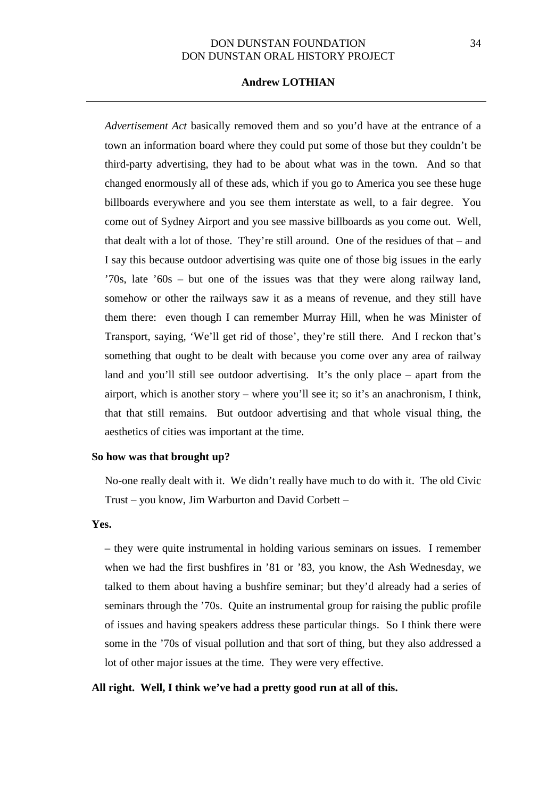## **Andrew LOTHIAN**

*Advertisement Act* basically removed them and so you'd have at the entrance of a town an information board where they could put some of those but they couldn't be third-party advertising, they had to be about what was in the town. And so that changed enormously all of these ads, which if you go to America you see these huge billboards everywhere and you see them interstate as well, to a fair degree. You come out of Sydney Airport and you see massive billboards as you come out. Well, that dealt with a lot of those. They're still around. One of the residues of that – and I say this because outdoor advertising was quite one of those big issues in the early '70s, late '60s – but one of the issues was that they were along railway land, somehow or other the railways saw it as a means of revenue, and they still have them there: even though I can remember Murray Hill, when he was Minister of Transport, saying, 'We'll get rid of those', they're still there. And I reckon that's something that ought to be dealt with because you come over any area of railway land and you'll still see outdoor advertising. It's the only place – apart from the airport, which is another story – where you'll see it; so it's an anachronism, I think, that that still remains. But outdoor advertising and that whole visual thing, the aesthetics of cities was important at the time.

#### **So how was that brought up?**

No-one really dealt with it. We didn't really have much to do with it. The old Civic Trust – you know, Jim Warburton and David Corbett –

### **Yes.**

– they were quite instrumental in holding various seminars on issues. I remember when we had the first bushfires in '81 or '83, you know, the Ash Wednesday, we talked to them about having a bushfire seminar; but they'd already had a series of seminars through the '70s. Quite an instrumental group for raising the public profile of issues and having speakers address these particular things. So I think there were some in the '70s of visual pollution and that sort of thing, but they also addressed a lot of other major issues at the time. They were very effective.

## **All right. Well, I think we've had a pretty good run at all of this.**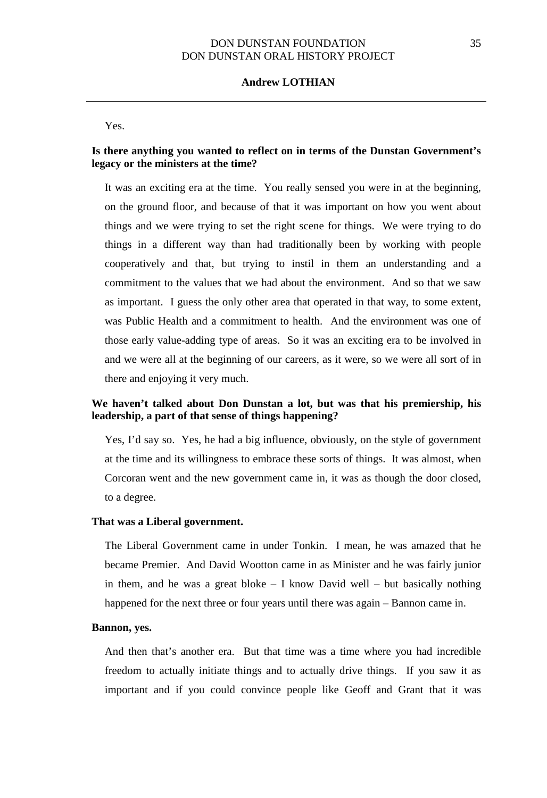### **Andrew LOTHIAN**

Yes.

## **Is there anything you wanted to reflect on in terms of the Dunstan Government's legacy or the ministers at the time?**

It was an exciting era at the time. You really sensed you were in at the beginning, on the ground floor, and because of that it was important on how you went about things and we were trying to set the right scene for things. We were trying to do things in a different way than had traditionally been by working with people cooperatively and that, but trying to instil in them an understanding and a commitment to the values that we had about the environment. And so that we saw as important. I guess the only other area that operated in that way, to some extent, was Public Health and a commitment to health. And the environment was one of those early value-adding type of areas. So it was an exciting era to be involved in and we were all at the beginning of our careers, as it were, so we were all sort of in there and enjoying it very much.

## **We haven't talked about Don Dunstan a lot, but was that his premiership, his leadership, a part of that sense of things happening?**

Yes, I'd say so. Yes, he had a big influence, obviously, on the style of government at the time and its willingness to embrace these sorts of things. It was almost, when Corcoran went and the new government came in, it was as though the door closed, to a degree.

#### **That was a Liberal government.**

The Liberal Government came in under Tonkin. I mean, he was amazed that he became Premier. And David Wootton came in as Minister and he was fairly junior in them, and he was a great bloke  $-$  I know David well  $-$  but basically nothing happened for the next three or four years until there was again – Bannon came in.

### **Bannon, yes.**

And then that's another era. But that time was a time where you had incredible freedom to actually initiate things and to actually drive things. If you saw it as important and if you could convince people like Geoff and Grant that it was